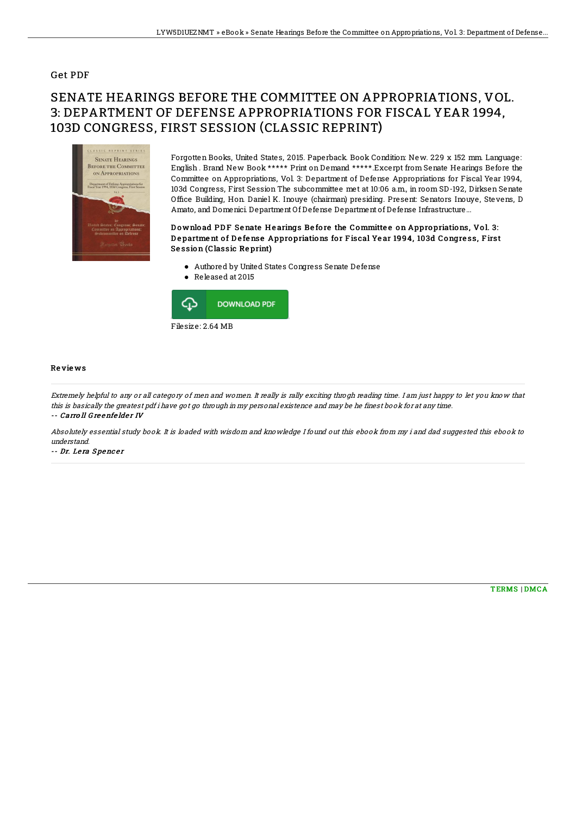### Get PDF

# SENATE HEARINGS BEFORE THE COMMITTEE ON APPROPRIATIONS, VOL. 3: DEPARTMENT OF DEFENSE APPROPRIATIONS FOR FISCAL YEAR 1994, 103D CONGRESS, FIRST SESSION (CLASSIC REPRINT)



Forgotten Books, United States, 2015. Paperback. Book Condition: New. 229 x 152 mm. Language: English . Brand New Book \*\*\*\*\* Print on Demand \*\*\*\*\*.Excerpt from Senate Hearings Before the Committee on Appropriations, Vol. 3: Department of Defense Appropriations for Fiscal Year 1994, 103d Congress, First Session The subcommittee met at 10:06 a.m., in room SD-192, Dirksen Senate Office Building, Hon. Daniel K. Inouye (chairman) presiding. Present: Senators Inouye, Stevens, D Amato, and Domenici. Department Of Defense Department of Defense Infrastructure...

#### Download PDF Senate Hearings Before the Committee on Appropriations, Vol. 3: Department of Defense Appropriations for Fiscal Year 1994, 103d Congress, First Se ssion (Classic Re print)

- Authored by United States Congress Senate Defense
- Released at 2015



#### Re vie ws

Extremely helpful to any or all category of men and women. It really is rally exciting throgh reading time. I am just happy to let you know that this is basically the greatest pdf i have got go through in my personal existence and may be he finest book for at any time. -- Carro ll Greenfelder IV -

Absolutely essential study book. It is loaded with wisdom and knowledge I found out this ebook from my i and dad suggested this ebook to understand.

-- Dr. Lera Spencer